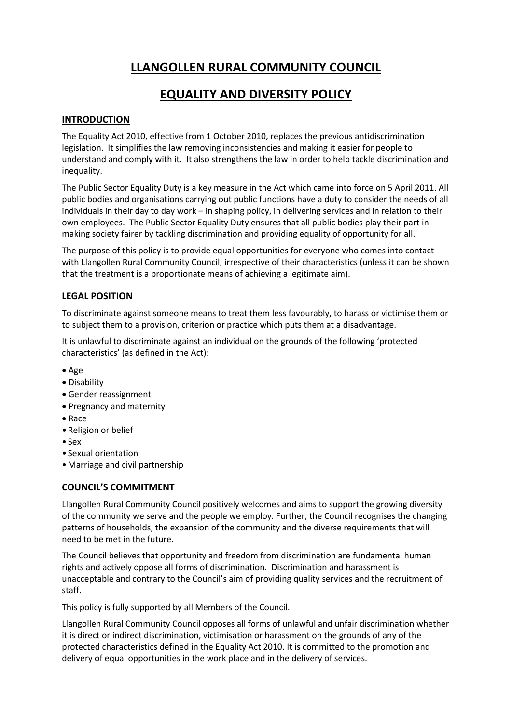# **LLANGOLLEN RURAL COMMUNITY COUNCIL**

## **EQUALITY AND DIVERSITY POLICY**

## **INTRODUCTION**

The Equality Act 2010, effective from 1 October 2010, replaces the previous antidiscrimination legislation. It simplifies the law removing inconsistencies and making it easier for people to understand and comply with it. It also strengthens the law in order to help tackle discrimination and inequality.

The Public Sector Equality Duty is a key measure in the Act which came into force on 5 April 2011. All public bodies and organisations carrying out public functions have a duty to consider the needs of all individuals in their day to day work – in shaping policy, in delivering services and in relation to their own employees. The Public Sector Equality Duty ensures that all public bodies play their part in making society fairer by tackling discrimination and providing equality of opportunity for all.

The purpose of this policy is to provide equal opportunities for everyone who comes into contact with Llangollen Rural Community Council; irrespective of their characteristics (unless it can be shown that the treatment is a proportionate means of achieving a legitimate aim).

## **LEGAL POSITION**

To discriminate against someone means to treat them less favourably, to harass or victimise them or to subject them to a provision, criterion or practice which puts them at a disadvantage.

It is unlawful to discriminate against an individual on the grounds of the following 'protected characteristics' (as defined in the Act):

- Age
- Disability
- Gender reassignment
- Pregnancy and maternity
- Race
- Religion or belief
- Sex
- Sexual orientation
- Marriage and civil partnership

### **COUNCIL'S COMMITMENT**

Llangollen Rural Community Council positively welcomes and aims to support the growing diversity of the community we serve and the people we employ. Further, the Council recognises the changing patterns of households, the expansion of the community and the diverse requirements that will need to be met in the future.

The Council believes that opportunity and freedom from discrimination are fundamental human rights and actively oppose all forms of discrimination. Discrimination and harassment is unacceptable and contrary to the Council's aim of providing quality services and the recruitment of staff.

This policy is fully supported by all Members of the Council.

Llangollen Rural Community Council opposes all forms of unlawful and unfair discrimination whether it is direct or indirect discrimination, victimisation or harassment on the grounds of any of the protected characteristics defined in the Equality Act 2010. It is committed to the promotion and delivery of equal opportunities in the work place and in the delivery of services.